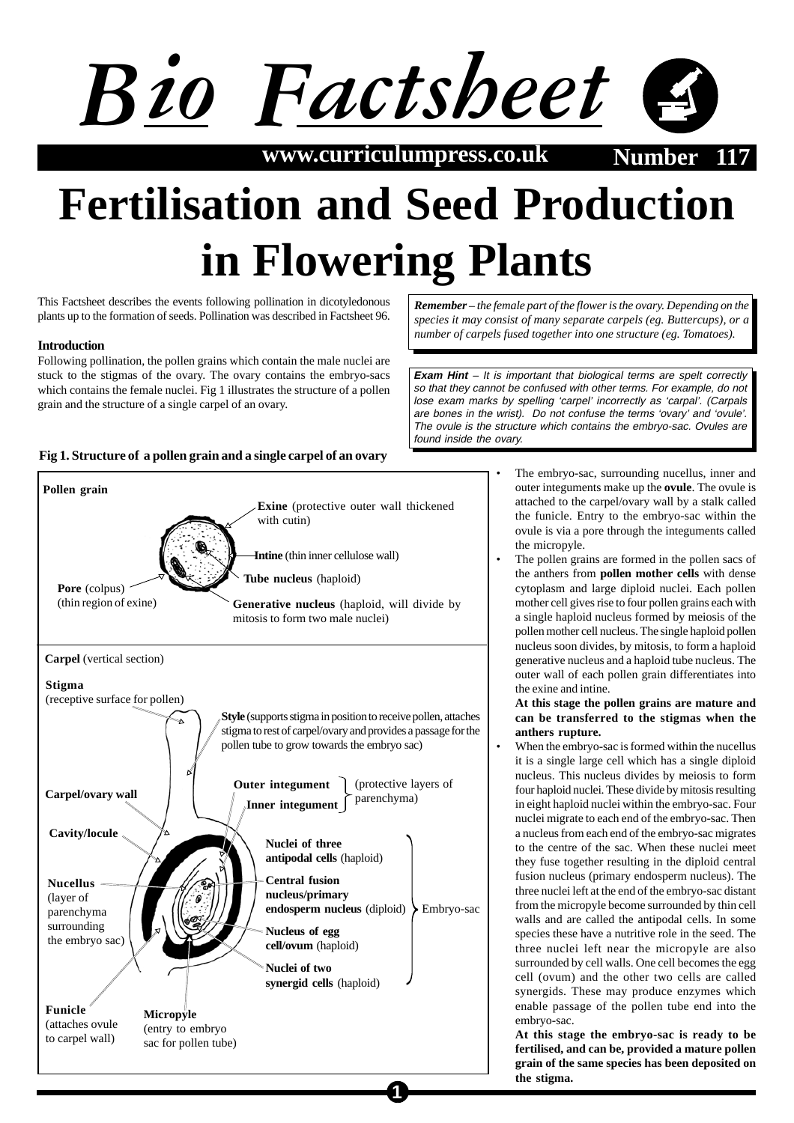

 $www.curriculumpress.co.uk$ 

# **Fertilisation and Seed Production in Flowering Plants**

**1**

This Factsheet describes the events following pollination in dicotyledonous plants up to the formation of seeds. Pollination was described in Factsheet 96.

## **Introduction**

Following pollination, the pollen grains which contain the male nuclei are stuck to the stigmas of the ovary. The ovary contains the embryo-sacs which contains the female nuclei. Fig 1 illustrates the structure of a pollen grain and the structure of a single carpel of an ovary.

# *species it may consist of many separate carpels (eg. Buttercups), or a number of carpels fused together into one structure (eg. Tomatoes).*

*Remember – the female part of the flower is the ovary. Depending on the*

**Exam Hint** – It is important that biological terms are spelt correctly so that they cannot be confused with other terms. For example, do not lose exam marks by spelling 'carpel' incorrectly as 'carpal'. (Carpals are bones in the wrist). Do not confuse the terms 'ovary' and 'ovule'. The ovule is the structure which contains the embryo-sac. Ovules are found inside the ovary.



- The embryo-sac, surrounding nucellus, inner and outer integuments make up the **ovule**. The ovule is attached to the carpel/ovary wall by a stalk called the funicle. Entry to the embryo-sac within the ovule is via a pore through the integuments called the micropyle.
- The pollen grains are formed in the pollen sacs of the anthers from **pollen mother cells** with dense cytoplasm and large diploid nuclei. Each pollen mother cell gives rise to four pollen grains each with a single haploid nucleus formed by meiosis of the pollen mother cell nucleus. The single haploid pollen nucleus soon divides, by mitosis, to form a haploid generative nucleus and a haploid tube nucleus. The outer wall of each pollen grain differentiates into the exine and intine.

#### **At this stage the pollen grains are mature and can be transferred to the stigmas when the anthers rupture.**

When the embryo-sac is formed within the nucellus it is a single large cell which has a single diploid nucleus. This nucleus divides by meiosis to form four haploid nuclei. These divide by mitosis resulting in eight haploid nuclei within the embryo-sac. Four nuclei migrate to each end of the embryo-sac. Then a nucleus from each end of the embryo-sac migrates to the centre of the sac. When these nuclei meet they fuse together resulting in the diploid central fusion nucleus (primary endosperm nucleus). The three nuclei left at the end of the embryo-sac distant from the micropyle become surrounded by thin cell walls and are called the antipodal cells. In some species these have a nutritive role in the seed. The three nuclei left near the micropyle are also surrounded by cell walls. One cell becomes the egg cell (ovum) and the other two cells are called synergids. These may produce enzymes which enable passage of the pollen tube end into the embryo-sac.

**At this stage the embryo-sac is ready to be fertilised, and can be, provided a mature pollen grain of the same species has been deposited on the stigma.**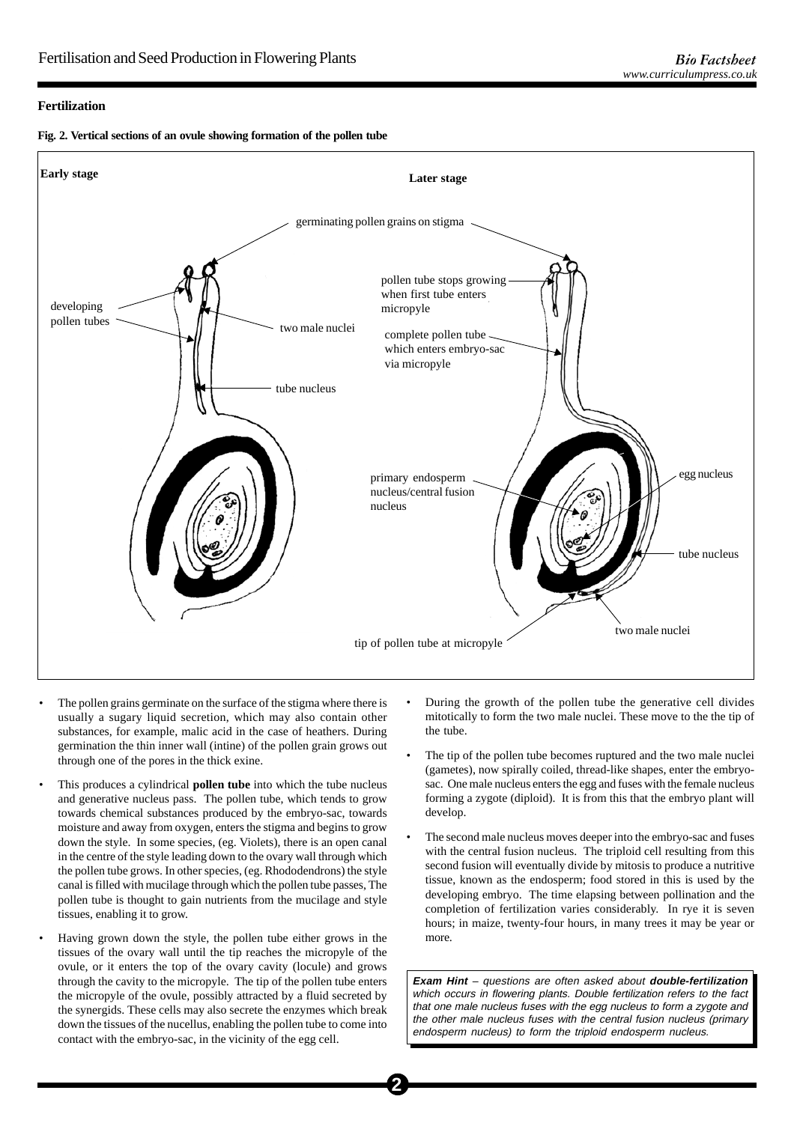### **Fertilization**





- The pollen grains germinate on the surface of the stigma where there is usually a sugary liquid secretion, which may also contain other substances, for example, malic acid in the case of heathers. During germination the thin inner wall (intine) of the pollen grain grows out through one of the pores in the thick exine.
- This produces a cylindrical **pollen tube** into which the tube nucleus and generative nucleus pass. The pollen tube, which tends to grow towards chemical substances produced by the embryo-sac, towards moisture and away from oxygen, enters the stigma and begins to grow down the style. In some species, (eg. Violets), there is an open canal in the centre of the style leading down to the ovary wall through which the pollen tube grows. In other species, (eg. Rhododendrons) the style canal is filled with mucilage through which the pollen tube passes, The pollen tube is thought to gain nutrients from the mucilage and style tissues, enabling it to grow.
- Having grown down the style, the pollen tube either grows in the tissues of the ovary wall until the tip reaches the micropyle of the ovule, or it enters the top of the ovary cavity (locule) and grows through the cavity to the micropyle. The tip of the pollen tube enters the micropyle of the ovule, possibly attracted by a fluid secreted by the synergids. These cells may also secrete the enzymes which break down the tissues of the nucellus, enabling the pollen tube to come into contact with the embryo-sac, in the vicinity of the egg cell.
- During the growth of the pollen tube the generative cell divides mitotically to form the two male nuclei. These move to the the tip of the tube.
- The tip of the pollen tube becomes ruptured and the two male nuclei (gametes), now spirally coiled, thread-like shapes, enter the embryosac. One male nucleus enters the egg and fuses with the female nucleus forming a zygote (diploid). It is from this that the embryo plant will develop.
- The second male nucleus moves deeper into the embryo-sac and fuses with the central fusion nucleus. The triploid cell resulting from this second fusion will eventually divide by mitosis to produce a nutritive tissue, known as the endosperm; food stored in this is used by the developing embryo. The time elapsing between pollination and the completion of fertilization varies considerably. In rye it is seven hours; in maize, twenty-four hours, in many trees it may be year or more.

**Exam Hint** – questions are often asked about **double-fertilization** which occurs in flowering plants. Double fertilization refers to the fact that one male nucleus fuses with the egg nucleus to form a zygote and the other male nucleus fuses with the central fusion nucleus (primary endosperm nucleus) to form the triploid endosperm nucleus.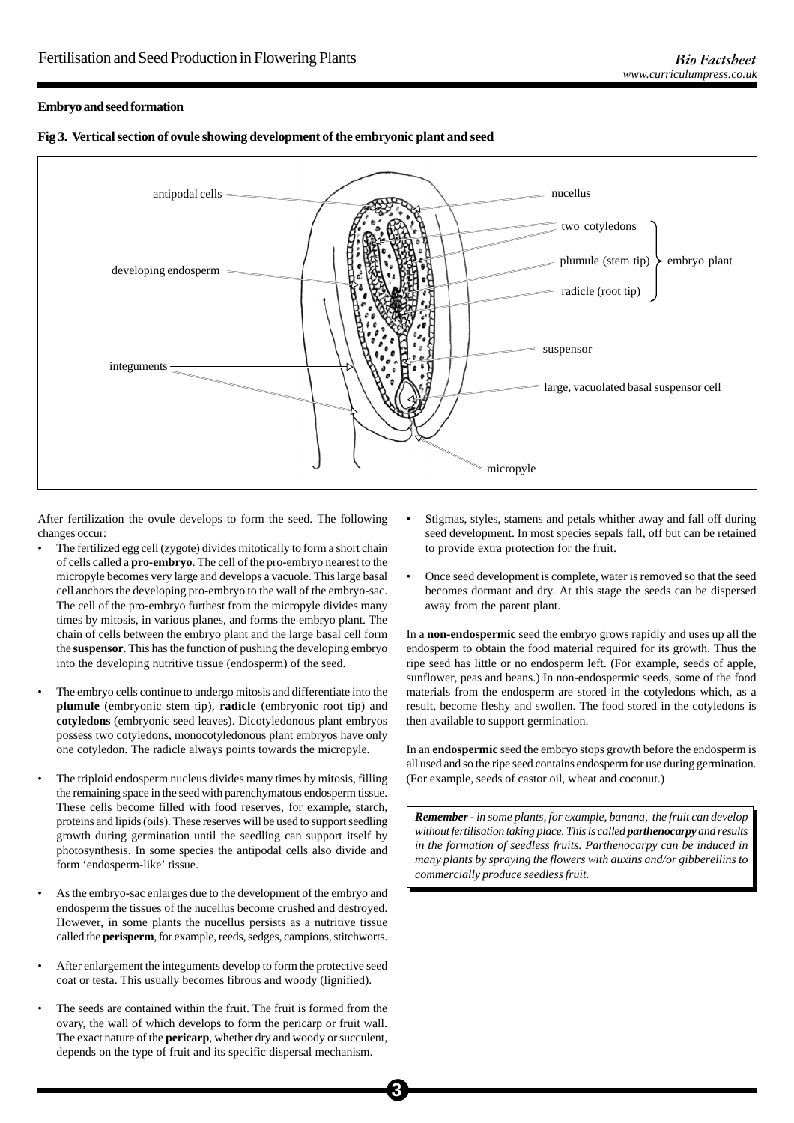### **Embryo and seed formation**



**Fig 3. Vertical section of ovule showing development of the embryonic plant and seed**

After fertilization the ovule develops to form the seed. The following changes occur:

- The fertilized egg cell (zygote) divides mitotically to form a short chain of cells called a **pro-embryo**. The cell of the pro-embryo nearest to the micropyle becomes very large and develops a vacuole. This large basal cell anchors the developing pro-embryo to the wall of the embryo-sac. The cell of the pro-embryo furthest from the micropyle divides many times by mitosis, in various planes, and forms the embryo plant. The chain of cells between the embryo plant and the large basal cell form the **suspensor**. This has the function of pushing the developing embryo into the developing nutritive tissue (endosperm) of the seed.
- The embryo cells continue to undergo mitosis and differentiate into the **plumule** (embryonic stem tip), **radicle** (embryonic root tip) and **cotyledons** (embryonic seed leaves). Dicotyledonous plant embryos possess two cotyledons, monocotyledonous plant embryos have only one cotyledon. The radicle always points towards the micropyle.
- The triploid endosperm nucleus divides many times by mitosis, filling the remaining space in the seed with parenchymatous endosperm tissue. These cells become filled with food reserves, for example, starch, proteins and lipids (oils). These reserves will be used to support seedling growth during germination until the seedling can support itself by photosynthesis. In some species the antipodal cells also divide and form 'endosperm-like' tissue.
- As the embryo-sac enlarges due to the development of the embryo and endosperm the tissues of the nucellus become crushed and destroyed. However, in some plants the nucellus persists as a nutritive tissue called the **perisperm**, for example, reeds, sedges, campions, stitchworts.
- After enlargement the integuments develop to form the protective seed coat or testa. This usually becomes fibrous and woody (lignified).
- The seeds are contained within the fruit. The fruit is formed from the ovary, the wall of which develops to form the pericarp or fruit wall. The exact nature of the **pericarp**, whether dry and woody or succulent, depends on the type of fruit and its specific dispersal mechanism.
- Stigmas, styles, stamens and petals whither away and fall off during seed development. In most species sepals fall, off but can be retained to provide extra protection for the fruit.
- Once seed development is complete, water is removed so that the seed becomes dormant and dry. At this stage the seeds can be dispersed away from the parent plant.

In a **non-endospermic** seed the embryo grows rapidly and uses up all the endosperm to obtain the food material required for its growth. Thus the ripe seed has little or no endosperm left. (For example, seeds of apple, sunflower, peas and beans.) In non-endospermic seeds, some of the food materials from the endosperm are stored in the cotyledons which, as a result, become fleshy and swollen. The food stored in the cotyledons is then available to support germination.

In an **endospermic** seed the embryo stops growth before the endosperm is all used and so the ripe seed contains endosperm for use during germination. (For example, seeds of castor oil, wheat and coconut.)

*Remember - in some plants, for example, banana, the fruit can develop without fertilisation taking place. This is called parthenocarpy and results in the formation of seedless fruits. Parthenocarpy can be induced in many plants by spraying the flowers with auxins and/or gibberellins to commercially produce seedless fruit.*